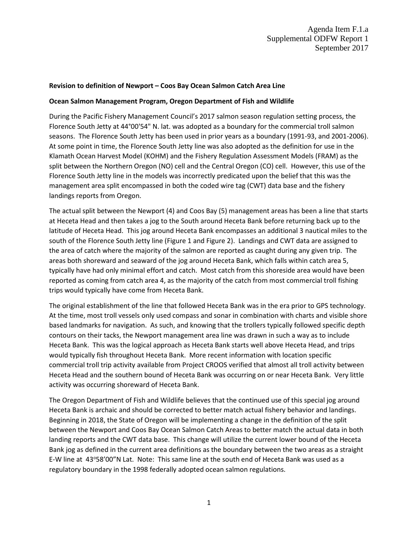## **Revision to definition of Newport – Coos Bay Ocean Salmon Catch Area Line**

## **Ocean Salmon Management Program, Oregon Department of Fish and Wildlife**

During the Pacific Fishery Management Council's 2017 salmon season regulation setting process, the Florence South Jetty at 44°00'54" N. lat. was adopted as a boundary for the commercial troll salmon seasons. The Florence South Jetty has been used in prior years as a boundary (1991-93, and 2001-2006). At some point in time, the Florence South Jetty line was also adopted as the definition for use in the Klamath Ocean Harvest Model (KOHM) and the Fishery Regulation Assessment Models (FRAM) as the split between the Northern Oregon (NO) cell and the Central Oregon (CO) cell. However, this use of the Florence South Jetty line in the models was incorrectly predicated upon the belief that this was the management area split encompassed in both the coded wire tag (CWT) data base and the fishery landings reports from Oregon.

The actual split between the Newport (4) and Coos Bay (5) management areas has been a line that starts at Heceta Head and then takes a jog to the South around Heceta Bank before returning back up to the latitude of Heceta Head. This jog around Heceta Bank encompasses an additional 3 nautical miles to the south of the Florence South Jetty line (Figure 1 and Figure 2). Landings and CWT data are assigned to the area of catch where the majority of the salmon are reported as caught during any given trip. The areas both shoreward and seaward of the jog around Heceta Bank, which falls within catch area 5, typically have had only minimal effort and catch. Most catch from this shoreside area would have been reported as coming from catch area 4, as the majority of the catch from most commercial troll fishing trips would typically have come from Heceta Bank.

The original establishment of the line that followed Heceta Bank was in the era prior to GPS technology. At the time, most troll vessels only used compass and sonar in combination with charts and visible shore based landmarks for navigation. As such, and knowing that the trollers typically followed specific depth contours on their tacks, the Newport management area line was drawn in such a way as to include Heceta Bank. This was the logical approach as Heceta Bank starts well above Heceta Head, and trips would typically fish throughout Heceta Bank. More recent information with location specific commercial troll trip activity available from Project CROOS verified that almost all troll activity between Heceta Head and the southern bound of Heceta Bank was occurring on or near Heceta Bank. Very little activity was occurring shoreward of Heceta Bank.

The Oregon Department of Fish and Wildlife believes that the continued use of this special jog around Heceta Bank is archaic and should be corrected to better match actual fishery behavior and landings. Beginning in 2018, the State of Oregon will be implementing a change in the definition of the split between the Newport and Coos Bay Ocean Salmon Catch Areas to better match the actual data in both landing reports and the CWT data base. This change will utilize the current lower bound of the Heceta Bank jog as defined in the current area definitions as the boundary between the two areas as a straight E-W line at 43°58'00"N Lat. Note: This same line at the south end of Heceta Bank was used as a regulatory boundary in the 1998 federally adopted ocean salmon regulations.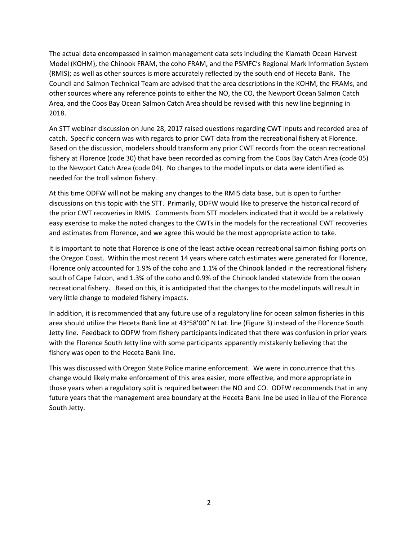The actual data encompassed in salmon management data sets including the Klamath Ocean Harvest Model (KOHM), the Chinook FRAM, the coho FRAM, and the PSMFC's Regional Mark Information System (RMIS); as well as other sources is more accurately reflected by the south end of Heceta Bank. The Council and Salmon Technical Team are advised that the area descriptions in the KOHM, the FRAMs, and other sources where any reference points to either the NO, the CO, the Newport Ocean Salmon Catch Area, and the Coos Bay Ocean Salmon Catch Area should be revised with this new line beginning in 2018.

An STT webinar discussion on June 28, 2017 raised questions regarding CWT inputs and recorded area of catch. Specific concern was with regards to prior CWT data from the recreational fishery at Florence. Based on the discussion, modelers should transform any prior CWT records from the ocean recreational fishery at Florence (code 30) that have been recorded as coming from the Coos Bay Catch Area (code 05) to the Newport Catch Area (code 04). No changes to the model inputs or data were identified as needed for the troll salmon fishery.

At this time ODFW will not be making any changes to the RMIS data base, but is open to further discussions on this topic with the STT. Primarily, ODFW would like to preserve the historical record of the prior CWT recoveries in RMIS. Comments from STT modelers indicated that it would be a relatively easy exercise to make the noted changes to the CWTs in the models for the recreational CWT recoveries and estimates from Florence, and we agree this would be the most appropriate action to take.

It is important to note that Florence is one of the least active ocean recreational salmon fishing ports on the Oregon Coast. Within the most recent 14 years where catch estimates were generated for Florence, Florence only accounted for 1.9% of the coho and 1.1% of the Chinook landed in the recreational fishery south of Cape Falcon, and 1.3% of the coho and 0.9% of the Chinook landed statewide from the ocean recreational fishery. Based on this, it is anticipated that the changes to the model inputs will result in very little change to modeled fishery impacts.

In addition, it is recommended that any future use of a regulatory line for ocean salmon fisheries in this area should utilize the Heceta Bank line at 43°58'00" N Lat. line (Figure 3) instead of the Florence South Jetty line. Feedback to ODFW from fishery participants indicated that there was confusion in prior years with the Florence South Jetty line with some participants apparently mistakenly believing that the fishery was open to the Heceta Bank line.

This was discussed with Oregon State Police marine enforcement. We were in concurrence that this change would likely make enforcement of this area easier, more effective, and more appropriate in those years when a regulatory split is required between the NO and CO. ODFW recommends that in any future years that the management area boundary at the Heceta Bank line be used in lieu of the Florence South Jetty.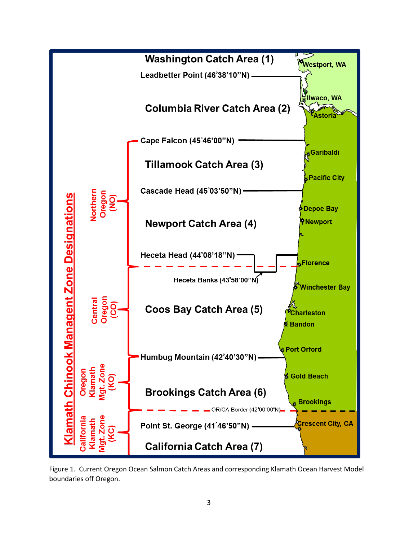

Figure 1. Current Oregon Ocean Salmon Catch Areas and corresponding Klamath Ocean Harvest Model boundaries off Oregon.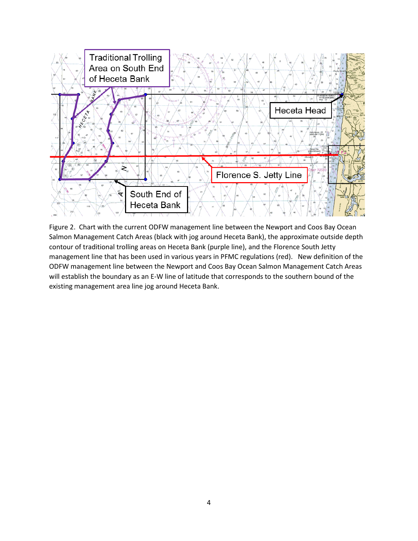

Figure 2. Chart with the current ODFW management line between the Newport and Coos Bay Ocean Salmon Management Catch Areas (black with jog around Heceta Bank), the approximate outside depth contour of traditional trolling areas on Heceta Bank (purple line), and the Florence South Jetty management line that has been used in various years in PFMC regulations (red). New definition of the ODFW management line between the Newport and Coos Bay Ocean Salmon Management Catch Areas will establish the boundary as an E-W line of latitude that corresponds to the southern bound of the existing management area line jog around Heceta Bank.